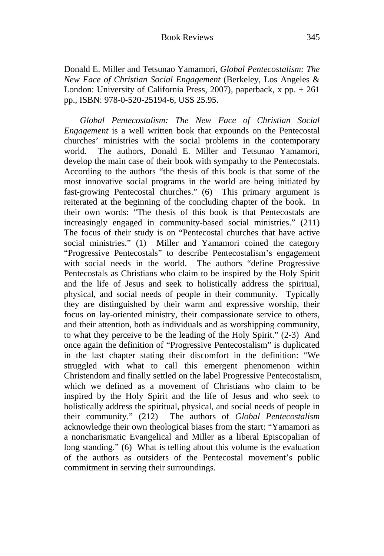Donald E. Miller and Tetsunao Yamamori, *Global Pentecostalism: The New Face of Christian Social Engagement* (Berkeley, Los Angeles & London: University of California Press, 2007), paperback, x pp. + 261 pp., ISBN: 978-0-520-25194-6, US\$ 25.95.

*Global Pentecostalism: The New Face of Christian Social Engagement* is a well written book that expounds on the Pentecostal churches' ministries with the social problems in the contemporary world. The authors, Donald E. Miller and Tetsunao Yamamori, develop the main case of their book with sympathy to the Pentecostals. According to the authors "the thesis of this book is that some of the most innovative social programs in the world are being initiated by fast-growing Pentecostal churches." (6) This primary argument is reiterated at the beginning of the concluding chapter of the book. In their own words: "The thesis of this book is that Pentecostals are increasingly engaged in community-based social ministries." (211) The focus of their study is on "Pentecostal churches that have active social ministries." (1) Miller and Yamamori coined the category "Progressive Pentecostals" to describe Pentecostalism's engagement with social needs in the world. The authors "define Progressive Pentecostals as Christians who claim to be inspired by the Holy Spirit and the life of Jesus and seek to holistically address the spiritual, physical, and social needs of people in their community. Typically they are distinguished by their warm and expressive worship, their focus on lay-oriented ministry, their compassionate service to others, and their attention, both as individuals and as worshipping community, to what they perceive to be the leading of the Holy Spirit." (2-3) And once again the definition of "Progressive Pentecostalism" is duplicated in the last chapter stating their discomfort in the definition: "We struggled with what to call this emergent phenomenon within Christendom and finally settled on the label Progressive Pentecostalism, which we defined as a movement of Christians who claim to be inspired by the Holy Spirit and the life of Jesus and who seek to holistically address the spiritual, physical, and social needs of people in their community." (212) The authors of *Global Pentecostalism*  acknowledge their own theological biases from the start: "Yamamori as a noncharismatic Evangelical and Miller as a liberal Episcopalian of long standing." (6) What is telling about this volume is the evaluation of the authors as outsiders of the Pentecostal movement's public commitment in serving their surroundings.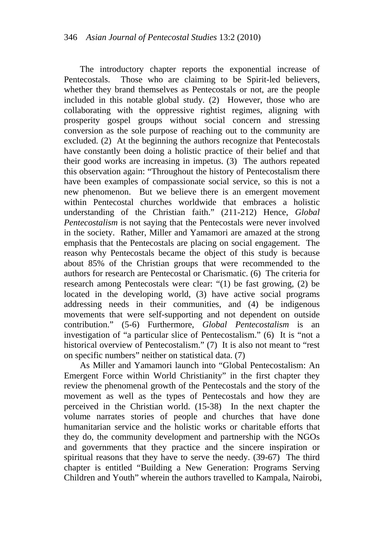The introductory chapter reports the exponential increase of Pentecostals. Those who are claiming to be Spirit-led believers, whether they brand themselves as Pentecostals or not, are the people included in this notable global study. (2) However, those who are collaborating with the oppressive rightist regimes, aligning with prosperity gospel groups without social concern and stressing conversion as the sole purpose of reaching out to the community are excluded. (2) At the beginning the authors recognize that Pentecostals have constantly been doing a holistic practice of their belief and that their good works are increasing in impetus. (3) The authors repeated this observation again: "Throughout the history of Pentecostalism there have been examples of compassionate social service, so this is not a new phenomenon. But we believe there is an emergent movement within Pentecostal churches worldwide that embraces a holistic understanding of the Christian faith." (211-212) Hence, *Global Pentecostalism* is not saying that the Pentecostals were never involved in the society. Rather, Miller and Yamamori are amazed at the strong emphasis that the Pentecostals are placing on social engagement. The reason why Pentecostals became the object of this study is because about 85% of the Christian groups that were recommended to the authors for research are Pentecostal or Charismatic. (6) The criteria for research among Pentecostals were clear: "(1) be fast growing, (2) be located in the developing world, (3) have active social programs addressing needs in their communities, and (4) be indigenous movements that were self-supporting and not dependent on outside contribution." (5-6) Furthermore, *Global Pentecostalism* is an investigation of "a particular slice of Pentecostalism." (6) It is "not a historical overview of Pentecostalism." (7) It is also not meant to "rest on specific numbers" neither on statistical data. (7)

As Miller and Yamamori launch into "Global Pentecostalism: An Emergent Force within World Christianity" in the first chapter they review the phenomenal growth of the Pentecostals and the story of the movement as well as the types of Pentecostals and how they are perceived in the Christian world. (15-38) In the next chapter the volume narrates stories of people and churches that have done humanitarian service and the holistic works or charitable efforts that they do, the community development and partnership with the NGOs and governments that they practice and the sincere inspiration or spiritual reasons that they have to serve the needy. (39-67) The third chapter is entitled "Building a New Generation: Programs Serving Children and Youth" wherein the authors travelled to Kampala, Nairobi,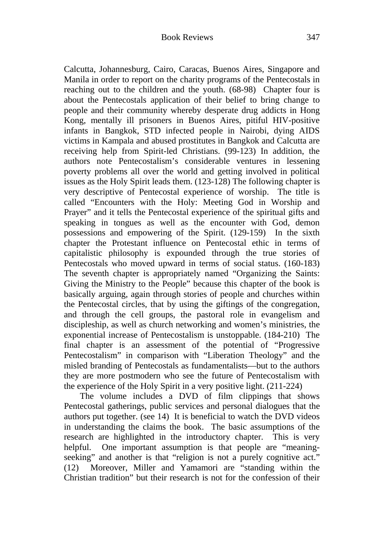Calcutta, Johannesburg, Cairo, Caracas, Buenos Aires, Singapore and Manila in order to report on the charity programs of the Pentecostals in reaching out to the children and the youth. (68-98) Chapter four is about the Pentecostals application of their belief to bring change to people and their community whereby desperate drug addicts in Hong Kong, mentally ill prisoners in Buenos Aires, pitiful HIV-positive infants in Bangkok, STD infected people in Nairobi, dying AIDS victims in Kampala and abused prostitutes in Bangkok and Calcutta are receiving help from Spirit-led Christians. (99-123) In addition, the authors note Pentecostalism's considerable ventures in lessening poverty problems all over the world and getting involved in political issues as the Holy Spirit leads them. (123-128) The following chapter is very descriptive of Pentecostal experience of worship. The title is called "Encounters with the Holy: Meeting God in Worship and Prayer" and it tells the Pentecostal experience of the spiritual gifts and speaking in tongues as well as the encounter with God, demon possessions and empowering of the Spirit. (129-159) In the sixth chapter the Protestant influence on Pentecostal ethic in terms of capitalistic philosophy is expounded through the true stories of Pentecostals who moved upward in terms of social status. (160-183) The seventh chapter is appropriately named "Organizing the Saints: Giving the Ministry to the People" because this chapter of the book is basically arguing, again through stories of people and churches within the Pentecostal circles, that by using the giftings of the congregation, and through the cell groups, the pastoral role in evangelism and discipleship, as well as church networking and women's ministries, the exponential increase of Pentecostalism is unstoppable. (184-210) The final chapter is an assessment of the potential of "Progressive Pentecostalism" in comparison with "Liberation Theology" and the misled branding of Pentecostals as fundamentalists—but to the authors they are more postmodern who see the future of Pentecostalism with the experience of the Holy Spirit in a very positive light. (211-224)

The volume includes a DVD of film clippings that shows Pentecostal gatherings, public services and personal dialogues that the authors put together. (see 14) It is beneficial to watch the DVD videos in understanding the claims the book. The basic assumptions of the research are highlighted in the introductory chapter. This is very helpful. One important assumption is that people are "meaningseeking" and another is that "religion is not a purely cognitive act." (12) Moreover, Miller and Yamamori are "standing within the Christian tradition" but their research is not for the confession of their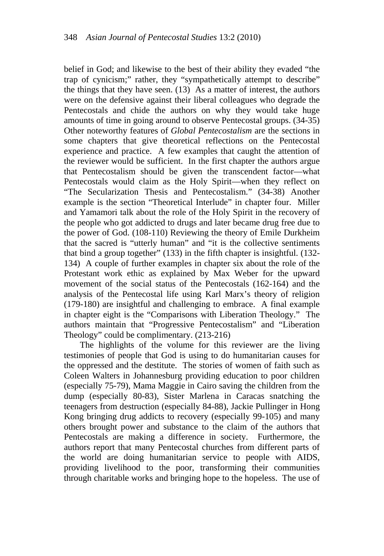belief in God; and likewise to the best of their ability they evaded "the trap of cynicism;" rather, they "sympathetically attempt to describe" the things that they have seen. (13) As a matter of interest, the authors were on the defensive against their liberal colleagues who degrade the Pentecostals and chide the authors on why they would take huge amounts of time in going around to observe Pentecostal groups. (34-35) Other noteworthy features of *Global Pentecostalism* are the sections in some chapters that give theoretical reflections on the Pentecostal experience and practice. A few examples that caught the attention of the reviewer would be sufficient. In the first chapter the authors argue that Pentecostalism should be given the transcendent factor—what Pentecostals would claim as the Holy Spirit—when they reflect on "The Secularization Thesis and Pentecostalism." (34-38) Another example is the section "Theoretical Interlude" in chapter four. Miller and Yamamori talk about the role of the Holy Spirit in the recovery of the people who got addicted to drugs and later became drug free due to the power of God. (108-110) Reviewing the theory of Emile Durkheim that the sacred is "utterly human" and "it is the collective sentiments that bind a group together" (133) in the fifth chapter is insightful. (132- 134) A couple of further examples in chapter six about the role of the Protestant work ethic as explained by Max Weber for the upward movement of the social status of the Pentecostals (162-164) and the analysis of the Pentecostal life using Karl Marx's theory of religion (179-180) are insightful and challenging to embrace. A final example in chapter eight is the "Comparisons with Liberation Theology." The authors maintain that "Progressive Pentecostalism" and "Liberation Theology" could be complimentary. (213-216)

The highlights of the volume for this reviewer are the living testimonies of people that God is using to do humanitarian causes for the oppressed and the destitute. The stories of women of faith such as Coleen Walters in Johannesburg providing education to poor children (especially 75-79), Mama Maggie in Cairo saving the children from the dump (especially 80-83), Sister Marlena in Caracas snatching the teenagers from destruction (especially 84-88), Jackie Pullinger in Hong Kong bringing drug addicts to recovery (especially 99-105) and many others brought power and substance to the claim of the authors that Pentecostals are making a difference in society. Furthermore, the authors report that many Pentecostal churches from different parts of the world are doing humanitarian service to people with AIDS, providing livelihood to the poor, transforming their communities through charitable works and bringing hope to the hopeless. The use of